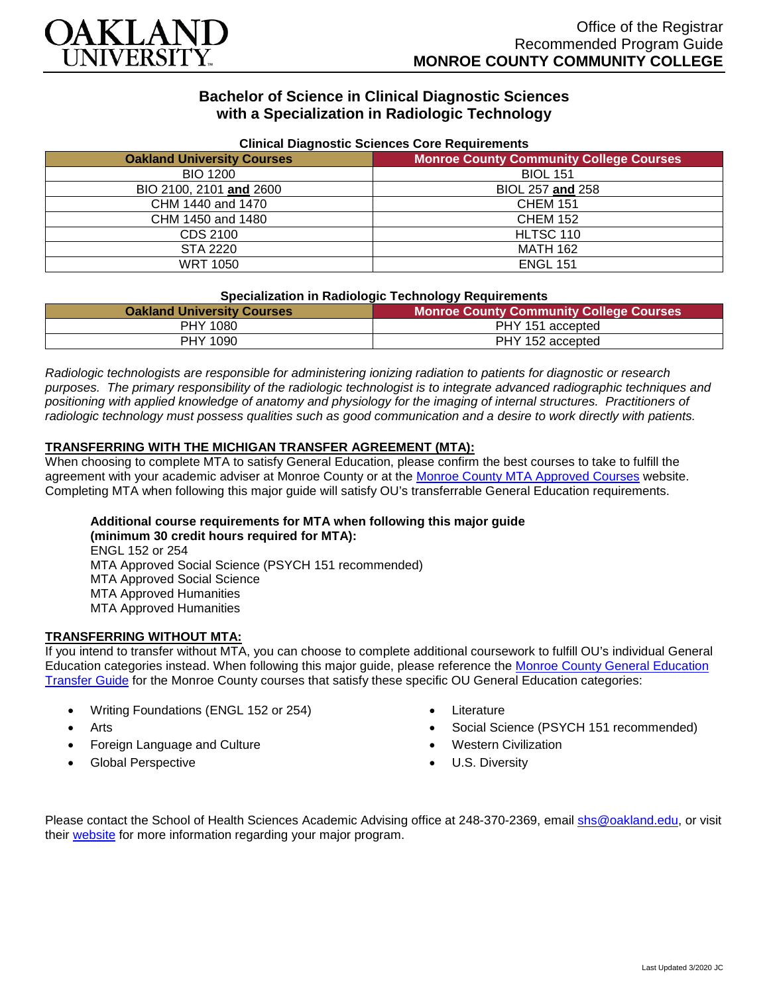

# **Bachelor of Science in Clinical Diagnostic Sciences with a Specialization in Radiologic Technology**

| <b>Uninual Diagnostic Ociences Obic Requirements</b> |                                                |
|------------------------------------------------------|------------------------------------------------|
| <b>Oakland University Courses</b>                    | <b>Monroe County Community College Courses</b> |
| <b>BIO 1200</b>                                      | <b>BIOL 151</b>                                |
| BIO 2100, 2101 and 2600                              | BIOL 257 and 258                               |
| CHM 1440 and 1470                                    | <b>CHEM 151</b>                                |
| CHM 1450 and 1480                                    | <b>CHEM 152</b>                                |
| CDS 2100                                             | HLTSC 110                                      |
| STA 2220                                             | <b>MATH 162</b>                                |
| <b>WRT 1050</b>                                      | <b>ENGL 151</b>                                |

## **Clinical Diagnostic Sciences Core Requirements**

## **Specialization in Radiologic Technology Requirements**

| <b>Oakland University Courses</b> | <b>Monroe County Community College Courses</b> |
|-----------------------------------|------------------------------------------------|
| PHY 1080                          | PHY 151 accepted                               |
| <b>PHY 1090</b>                   | PHY 152 accepted                               |

*Radiologic technologists are responsible for administering ionizing radiation to patients for diagnostic or research purposes. The primary responsibility of the radiologic technologist is to integrate advanced radiographic techniques and positioning with applied knowledge of anatomy and physiology for the imaging of internal structures. Practitioners of radiologic technology must possess qualities such as good communication and a desire to work directly with patients.*

## **TRANSFERRING WITH THE MICHIGAN TRANSFER AGREEMENT (MTA):**

When choosing to complete MTA to satisfy General Education, please confirm the best courses to take to fulfill the agreement with your academic adviser at Monroe County or at the [Monroe County MTA Approved Courses](https://www.monroeccc.edu/transfer/michigan-transfer-agreement) website. Completing MTA when following this major guide will satisfy OU's transferrable General Education requirements.

# **Additional course requirements for MTA when following this major guide**

**(minimum 30 credit hours required for MTA):** ENGL 152 or 254 MTA Approved Social Science (PSYCH 151 recommended) MTA Approved Social Science MTA Approved Humanities MTA Approved Humanities

## **TRANSFERRING WITHOUT MTA:**

If you intend to transfer without MTA, you can choose to complete additional coursework to fulfill OU's individual General Education categories instead. When following this major guide, please reference the [Monroe County General Education](https://www.oakland.edu/Assets/Oakland/program-guides/monroe-county-community-college/university-general-education-requirements/Monroe%20County%20Gen%20Ed.pdf)  [Transfer Guide](https://www.oakland.edu/Assets/Oakland/program-guides/monroe-county-community-college/university-general-education-requirements/Monroe%20County%20Gen%20Ed.pdf) for the Monroe County courses that satisfy these specific OU General Education categories:

- Writing Foundations (ENGL 152 or 254)
- Arts
- Foreign Language and Culture
- Global Perspective
- **Literature**
- Social Science (PSYCH 151 recommended)
- Western Civilization
- U.S. Diversity

Please contact the School of Health Sciences Academic Advising office at 248-370-2369, email [shs@oakland.edu,](mailto:shs@oakland.edu) or visit their [website](http://www.oakland.edu/shs/advising) for more information regarding your major program.